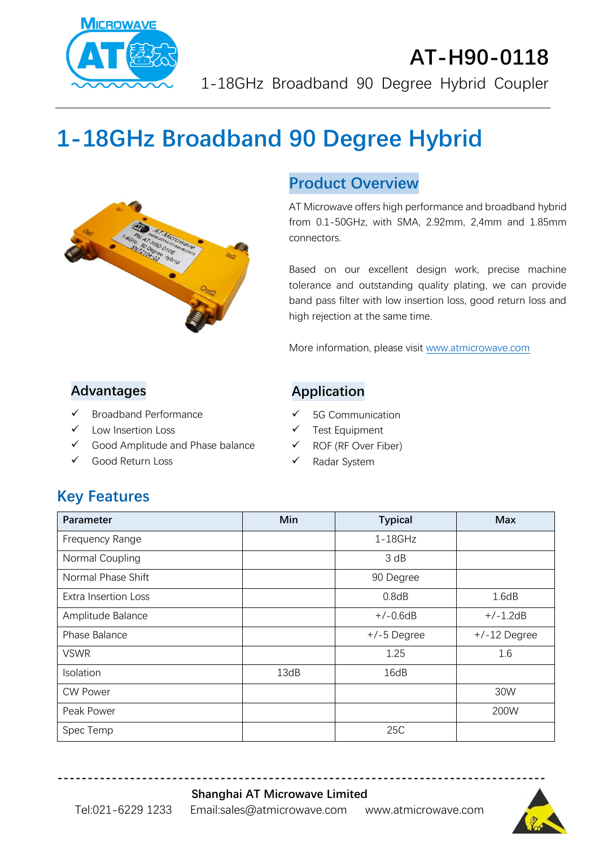

# **AT-H90-0118** 1-18GHz Broadband 90 Degree Hybrid Coupler

# **1-18GHz Broadband 90 Degree Hybrid**



#### **Product Overview**

AT Microwave offers high performance and broadband hybrid from 0.1-50GHz, with SMA, 2.92mm, 2,4mm and 1.85mm connectors.

Based on our excellent design work, precise machine tolerance and outstanding quality plating, we can provide band pass filter with low insertion loss, good return loss and high rejection at the same time.

More information, please visit [www.atmicrowave.com](http://www.atmicrowave.com/)

#### **Advantages**

- ✓ Broadband Performance
- Low Insertion Loss
- ✓ Good Amplitude and Phase balance
- Good Return Loss

#### **Application**

- ✓ 5G Communication
- ✓ Test Equipment
- ✓ ROF (RF Over Fiber)
- ✓ Radar System

## **Key Features**

| Parameter                   | Min  | <b>Typical</b> | <b>Max</b>     |
|-----------------------------|------|----------------|----------------|
| Frequency Range             |      | $1-18$ GHz     |                |
| Normal Coupling             |      | 3 dB           |                |
| Normal Phase Shift          |      | 90 Degree      |                |
| <b>Extra Insertion Loss</b> |      | 0.8dB          | 1.6dB          |
| Amplitude Balance           |      | $+/-0.6dB$     | $+/-1.2dB$     |
| Phase Balance               |      | $+/-5$ Degree  | $+/-12$ Degree |
| <b>VSWR</b>                 |      | 1.25           | 1.6            |
| Isolation                   | 13dB | 16dB           |                |
| <b>CW Power</b>             |      |                | 30W            |
| Peak Power                  |      |                | 200W           |
| Spec Temp                   |      | 25C            |                |

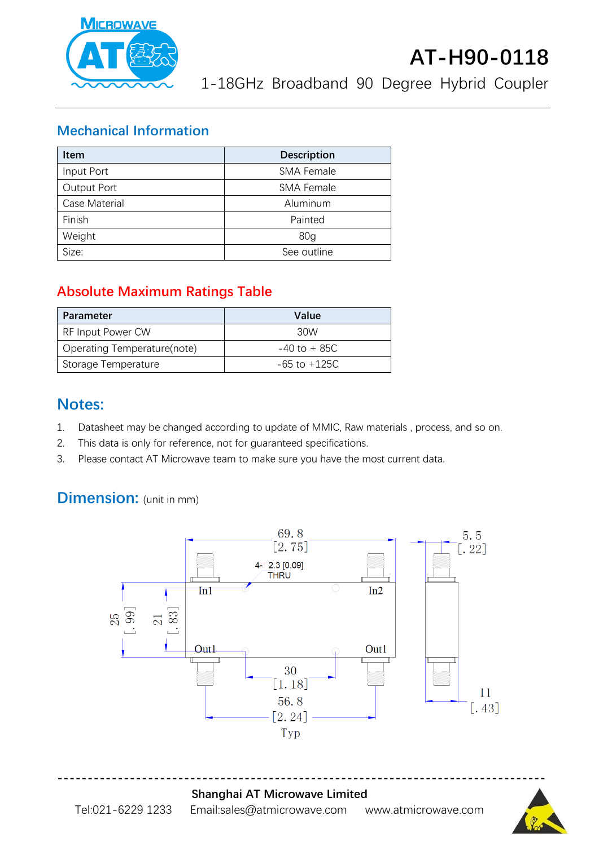

1-18GHz Broadband 90 Degree Hybrid Coupler

#### **Mechanical Information**

| <b>Item</b>   | <b>Description</b> |  |
|---------------|--------------------|--|
| Input Port    | <b>SMA Female</b>  |  |
| Output Port   | <b>SMA Female</b>  |  |
| Case Material | Aluminum           |  |
| Finish        | Painted            |  |
| Weight        | 80 <sub>q</sub>    |  |
| Size:         | See outline        |  |

#### **Absolute Maximum Ratings Table**

| Parameter                   | Value            |
|-----------------------------|------------------|
| RF Input Power CW           | 30W              |
| Operating Temperature(note) | $-40$ to $+85C$  |
| Storage Temperature         | $-65$ to $+125C$ |

#### **Notes:**

- 1. Datasheet may be changed according to update of MMIC, Raw materials , process, and so on.
- 2. This data is only for reference, not for guaranteed specifications.
- 3. Please contact AT Microwave team to make sure you have the most current data.

# **Dimension:** (unit in mm)